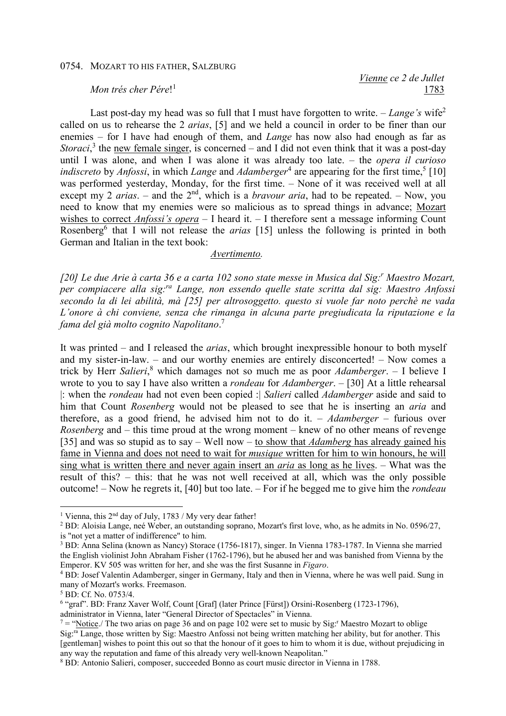## 0754. MOZART TO HIS FATHER, SALZBURG

## *Mon trés cher Pére*! 1

 *Vienne ce 2 de Jullet*  1783

Last post-day my head was so full that I must have forgotten to write. – *Lange's* wife<sup>2</sup> called on us to rehearse the 2 *arias*, [5] and we held a council in order to be finer than our enemies – for I have had enough of them, and *Lange* has now also had enough as far as Storaci,<sup>3</sup> the new female singer, is concerned – and I did not even think that it was a post-day until I was alone, and when I was alone it was already too late. – the *opera il curioso indiscreto* by *Anfossi*, in which *Lange* and *Adamberger*<sup>4</sup> are appearing for the first time,<sup>5</sup> [10] was performed yesterday, Monday, for the first time. – None of it was received well at all except my 2 *arias*. – and the 2<sup>nd</sup>, which is a *bravour aria*, had to be repeated. – Now, you need to know that my enemies were so malicious as to spread things in advance; Mozart wishes to correct *Anfossi's opera* – I heard it. – I therefore sent a message informing Count Rosenberg<sup>6</sup> that I will not release the *arias* [15] unless the following is printed in both German and Italian in the text book:

## *Avertimento.*

*[20] Le due Arie à carta 36 e a carta 102 sono state messe in Musica dal Sig:<sup>r</sup> Maestro Mozart, per compiacere alla sig:ra Lange, non essendo quelle state scritta dal sig: Maestro Anfossi secondo la di lei abilità, mà [25] per altrosoggetto. questo si vuole far noto perchè ne vada L'onore à chi conviene, senza che rimanga in alcuna parte pregiudicata la riputazione e la fama del già molto cognito Napolitano*. 7

It was printed – and I released the *arias*, which brought inexpressible honour to both myself and my sister-in-law. – and our worthy enemies are entirely disconcerted! – Now comes a trick by Herr *Salieri*, 8 which damages not so much me as poor *Adamberger*. – I believe I wrote to you to say I have also written a *rondeau* for *Adamberger*. – [30] At a little rehearsal |: when the *rondeau* had not even been copied :| *Salieri* called *Adamberger* aside and said to him that Count *Rosenberg* would not be pleased to see that he is inserting an *aria* and therefore, as a good friend, he advised him not to do it. – *Adamberger* – furious over *Rosenberg* and – this time proud at the wrong moment – knew of no other means of revenge [35] and was so stupid as to say – Well now – to show that *Adamberg* has already gained his fame in Vienna and does not need to wait for *musique* written for him to win honours, he will sing what is written there and never again insert an *aria* as long as he lives. – What was the result of this? – this: that he was not well received at all, which was the only possible outcome! – Now he regrets it, [40] but too late. – For if he begged me to give him the *rondeau*

 $\overline{a}$ 

administrator in Vienna, later "General Director of Spectacles" in Vienna.

<sup>&</sup>lt;sup>1</sup> Vienna, this 2<sup>nd</sup> day of July, 1783 / My very dear father!

 $^2$  BD: Aloisia Lange, neé Weber, an outstanding soprano, Mozart's first love, who, as he admits in No. 0596/27, is "not yet a matter of indifference" to him.

<sup>&</sup>lt;sup>3</sup> BD: Anna Selina (known as Nancy) Storace (1756-1817), singer. In Vienna 1783-1787. In Vienna she married the English violinist John Abraham Fisher (1762-1796), but he abused her and was banished from Vienna by the Emperor. KV 505 was written for her, and she was the first Susanne in *Figaro*.

<sup>4</sup> BD: Josef Valentin Adamberger, singer in Germany, Italy and then in Vienna, where he was well paid. Sung in many of Mozart's works. Freemason.

<sup>5</sup> BD: Cf. No. 0753/4.

<sup>&</sup>lt;sup>6</sup> "graf". BD: Franz Xaver Wolf, Count [Graf] (later Prince [Fürst]) Orsini-Rosenberg (1723-1796),

 $7 =$  "Notice./ The two arias on page 36 and on page 102 were set to music by Sig:<sup>r</sup> Maestro Mozart to oblige Sig:ra Lange, those written by Sig: Maestro Anfossi not being written matching her ability, but for another. This [gentleman] wishes to point this out so that the honour of it goes to him to whom it is due, without prejudicing in any way the reputation and fame of this already very well-known Neapolitan."

<sup>8</sup> BD: Antonio Salieri, composer, succeeded Bonno as court music director in Vienna in 1788.